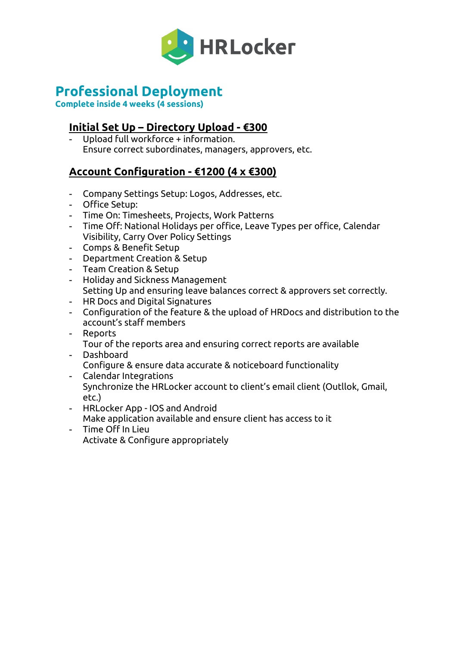

# **Professional Deployment**

**Complete inside 4 weeks (4 sessions)**

# **Initial Set Up – Directory Upload - €300**

- Upload full workforce + information. Ensure correct subordinates, managers, approvers, etc.

# **Account Configuration - €1200 (4 x €300)**

- Company Settings Setup: Logos, Addresses, etc.
- Office Setup:
- Time On: Timesheets, Projects, Work Patterns
- Time Off: National Holidays per office, Leave Types per office, Calendar Visibility, Carry Over Policy Settings
- Comps & Benefit Setup
- Department Creation & Setup
- Team Creation & Setup
- Holiday and Sickness Management Setting Up and ensuring leave balances correct & approvers set correctly.
- HR Docs and Digital Signatures
- Configuration of the feature & the upload of HRDocs and distribution to the account's staff members
- Reports Tour of the reports area and ensuring correct reports are available
- Dashboard Configure & ensure data accurate & noticeboard functionality
- Calendar Integrations Synchronize the HRLocker account to client's email client (Outllok, Gmail, etc.)
- HRLocker App IOS and Android Make application available and ensure client has access to it
- Time Off In Lieu Activate & Configure appropriately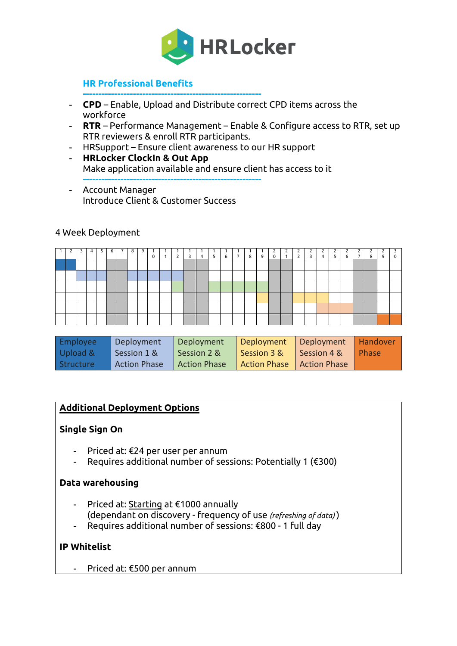

# **HR Professional Benefits**

- **CPD** Enable, Upload and Distribute correct CPD items across the workforce
- **RTR** Performance Management Enable & Configure access to RTR, set up RTR reviewers & enroll RTR participants.
- HRSupport Ensure client awareness to our HR support

**---------------------------------------------------------**

- **HRLocker ClockIn & Out App** Make application available and ensure client has access to it **---------------------------------------------------------**
- Account Manager Introduce Client & Customer Success

#### 4 Week Deployment

| $\overline{1}$ |  | 4 | 5 | 6 | $\overline{7}$ | 8 | 9 | $\mathbf 0$ | $\overline{2}$ | 3 | $\overline{4}$ | 5 <sub>1</sub> | 6 | $\overline{7}$ | 8 | 9 | $\frac{2}{0}$ | $\begin{matrix} 2 \\ 1 \end{matrix}$ | 2<br>$2^{\circ}$ | $\begin{array}{c} \begin{array}{c} \end{array}$ | 4 | $\begin{array}{c} 2 \\ 5 \end{array}$ | $\mathcal{P}$<br>6 | $\overline{7}$ | 2<br>8 | 9 | $\overline{\mathbf{3}}$<br>$\mathbf 0$ |
|----------------|--|---|---|---|----------------|---|---|-------------|----------------|---|----------------|----------------|---|----------------|---|---|---------------|--------------------------------------|------------------|-------------------------------------------------|---|---------------------------------------|--------------------|----------------|--------|---|----------------------------------------|
|                |  |   |   |   |                |   |   |             |                |   |                |                |   |                |   |   |               |                                      |                  |                                                 |   |                                       |                    |                |        |   |                                        |
|                |  |   |   |   |                |   |   |             |                |   |                |                |   |                |   |   |               |                                      |                  |                                                 |   |                                       |                    |                |        |   |                                        |
|                |  |   |   |   |                |   |   |             |                |   |                |                |   |                |   |   |               |                                      |                  |                                                 |   |                                       |                    |                |        |   |                                        |
|                |  |   |   |   |                |   |   |             |                |   |                |                |   |                |   |   |               |                                      |                  |                                                 |   |                                       |                    |                |        |   |                                        |
|                |  |   |   |   |                |   |   |             |                |   |                |                |   |                |   |   |               |                                      |                  |                                                 |   |                                       |                    |                |        |   |                                        |
|                |  |   |   |   |                |   |   |             |                |   |                |                |   |                |   |   |               |                                      |                  |                                                 |   |                                       |                    |                |        |   |                                        |

| Employee  | Deployment          | Deployment          | Deployment                  | Deployment  | <b>Handover</b> |
|-----------|---------------------|---------------------|-----------------------------|-------------|-----------------|
| Upload &  | Session 1 &         | Session 2 &         | Session 3 &                 | Session 4 & | Phase           |
| Structure | <b>Action Phase</b> | <b>Action Phase</b> | Action Phase   Action Phase |             |                 |

### **Additional Deployment Options**

#### **Single Sign On**

- Priced at: €24 per user per annum
- Requires additional number of sessions: Potentially 1 (€300)

#### **Data warehousing**

- Priced at: Starting at €1000 annually (dependant on discovery - frequency of use *(refreshing of data)* )
- Requires additional number of sessions: €800 1 full day

### **IP Whitelist**

- Priced at: €500 per annum